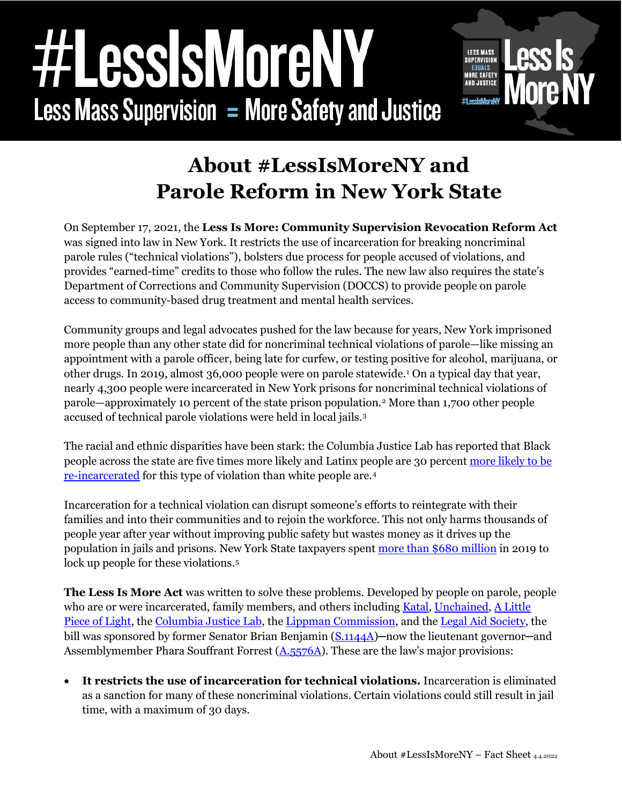## essisMoreN **Less Mass Supervision = More Safety and Justice**



## **About #LessIsMoreNY and Parole Reform in New York State**

On September 17, 2021, the **Less Is More: Community Supervision Revocation Reform Act**  was signed into law in New York. It restricts the use of incarceration for breaking noncriminal parole rules ("technical violations"), bolsters due process for people accused of violations, and provides "earned-time" credits to those who follow the rules. The new law also requires the state's Department of Corrections and Community Supervision (DOCCS) to provide people on parole access to community-based drug treatment and mental health services.

Community groups and legal advocates pushed for the law because for years, New York imprisoned more people than any other state did for noncriminal technical violations of parole—like missing an appointment with a parole officer, being late for curfew, or testing positive for alcohol, marijuana, or other drugs. In 2019, almost 36,000 people were on parole statewide.[1](#page-2-0) On a typical day that year, nearly 4,300 people were incarcerated in New York prisons for noncriminal technical violations of parole—approximately 10 percent of the state prison population.[2](#page-2-1) More than 1,700 other people accused of technical parole violations were held in local jails.[3](#page-2-2)

The racial and ethnic disparities have been stark: the Columbia Justice Lab has reported that Black people across the state are five times more likely and Latinx people are 30 percent [more likely to be](https://justicelab.columbia.edu/sites/default/files/content/NY%20Parole%20Racial%20Inequities.pdf)  [re-incarcerated](https://justicelab.columbia.edu/sites/default/files/content/NY%20Parole%20Racial%20Inequities.pdf) for this type of violation than white people are.[4](#page-2-3)

Incarceration for a technical violation can disrupt someone's efforts to reintegrate with their families and into their communities and to rejoin the workforce. This not only harms thousands of people year after year without improving public safety but wastes money as it drives up the population in jails and prisons. New York State taxpayers spent [more than \\$680 million](https://justicelab.columbia.edu/sites/default/files/content/Cost_Parole_Violations_in_New_York.pdf) in 2019 to lock up people for these violations.<sup>[5](#page-2-4)</sup>

**The Less Is More Act** was written to solve these problems. Developed by people on parole, people who are or were incarcerated, family members, and others including [Katal,](https://katalcenter.org/) [Unchained,](https://www.weareunchained.org/) A Little [Piece of Light,](https://www.alittlepieceoflight.org/) the [Columbia Justice Lab,](https://justicelab.columbia.edu/) th[e Lippman Commission,](https://www.morejustnyc.org/) and the [Legal Aid](https://legalaidnyc.org/) Society, the bill was sponsored by former Senator Brian Benjamin [\(S.1144A\)](https://www.nysenate.gov/legislation/bills/2021/s1144)—now the lieutenant governor—and Assemblymember Phara Souffrant Forrest  $(A.5576A)$ . These are the law's major provisions:

• **It restricts the use of incarceration for technical violations.** Incarceration is eliminated as a sanction for many of these noncriminal violations. Certain violations could still result in jail time, with a maximum of 30 days.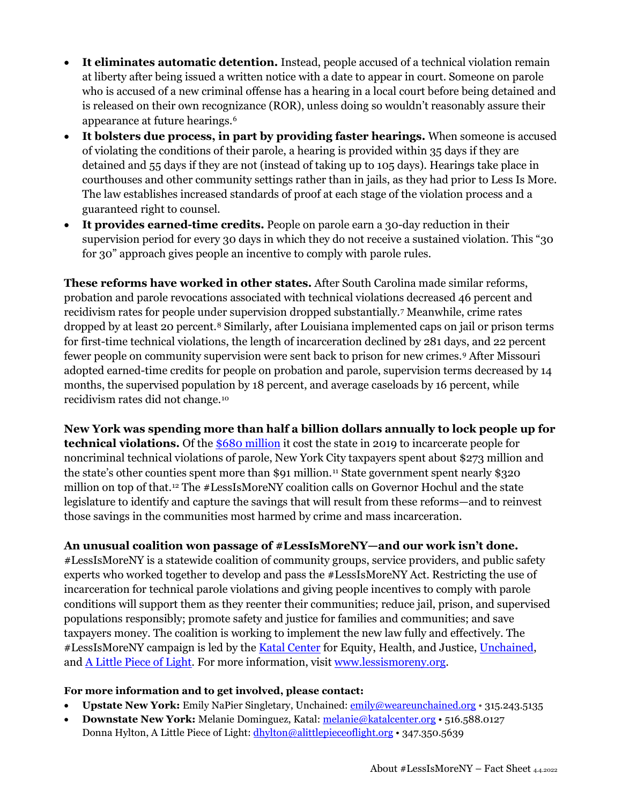- **It eliminates automatic detention.** Instead, people accused of a technical violation remain at liberty after being issued a written notice with a date to appear in court. Someone on parole who is accused of a new criminal offense has a hearing in a local court before being detained and is released on their own recognizance (ROR), unless doing so wouldn't reasonably assure their appearance at future hearings.[6](#page-2-5)
- **It bolsters due process, in part by providing faster hearings.** When someone is accused of violating the conditions of their parole, a hearing is provided within 35 days if they are detained and 55 days if they are not (instead of taking up to 105 days). Hearings take place in courthouses and other community settings rather than in jails, as they had prior to Less Is More. The law establishes increased standards of proof at each stage of the violation process and a guaranteed right to counsel.
- **It provides earned-time credits.** People on parole earn a 30-day reduction in their supervision period for every 30 days in which they do not receive a sustained violation. This "30 for 30" approach gives people an incentive to comply with parole rules.

**These reforms have worked in other states.** After South Carolina made similar reforms, probation and parole revocations associated with technical violations decreased 46 percent and recidivism rates for people under supervision dropped substantially.[7](#page-2-6) Meanwhile, crime rates dropped by at least 20 percent.[8](#page-2-7) Similarly, after Louisiana implemented caps on jail or prison terms for first-time technical violations, the length of incarceration declined by 281 days, and 22 percent fewer people on community supervision were sent back to prison for new crimes.[9](#page-2-8) After Missouri adopted earned-time credits for people on probation and parole, supervision terms decreased by 14 months, the supervised population by 18 percent, and average caseloads by 16 percent, while recidivism rates did not change.[10](#page-2-9)

**New York was spending more than half a billion dollars annually to lock people up for technical violations.** Of the [\\$680 million](https://justicelab.columbia.edu/sites/default/files/content/Cost_Parole_Violations_in_New_York.pdf) it cost the state in 2019 to incarcerate people for noncriminal technical violations of parole, New York City taxpayers spent about \$273 million and the state's other counties spent more than \$91 million.<sup>[11](#page-2-10)</sup> State government spent nearly \$320 million on top of that[.12](#page-2-11) The #LessIsMoreNY coalition calls on Governor Hochul and the state legislature to identify and capture the savings that will result from these reforms—and to reinvest those savings in the communities most harmed by crime and mass incarceration.

## **An unusual coalition won passage of #LessIsMoreNY—and our work isn't done.**

#LessIsMoreNY is a statewide coalition of community groups, service providers, and public safety experts who worked together to develop and pass the #LessIsMoreNY Act. Restricting the use of incarceration for technical parole violations and giving people incentives to comply with parole conditions will support them as they reenter their communities; reduce jail, prison, and supervised populations responsibly; promote safety and justice for families and communities; and save taxpayers money. The coalition is working to implement the new law fully and effectively. The #LessIsMoreNY campaign is led by the **Katal Center** for Equity, Health, and Justice, [Unchained,](https://www.weareunchained.org/) and **A Little Piece of Light**. For more information, visit [www.lessismoreny.org.](https://lessismoreny.org/)

## **For more information and to get involved, please contact:**

- **Upstate New York:** Emily NaPier Singletary, Unchained: [emily@weareunchained.org](mailto:emily@weareunchained.org) 315.243.5135
- **Downstate New York:** Melanie Dominguez, Katal: [melanie@katalcenter.org](mailto:melanie@katalcenter.org) 516.588.0127 Donna Hylton, A Little Piece of Light[: dhylton@alittlepieceoflight.org](mailto:dhylton@alittlepieceoflight.org) • 347.350.5639